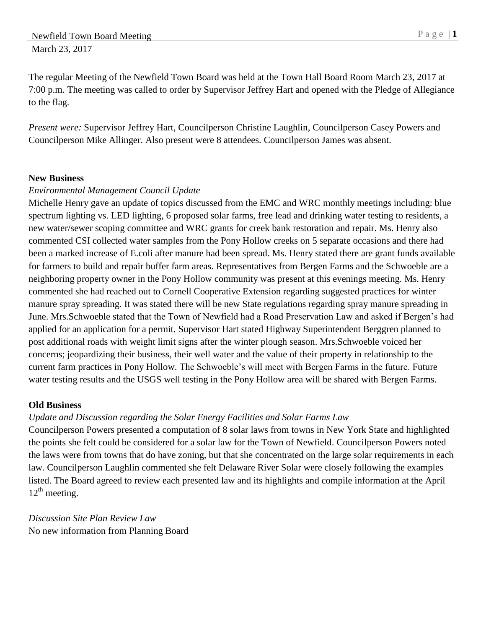The regular Meeting of the Newfield Town Board was held at the Town Hall Board Room March 23, 2017 at 7:00 p.m. The meeting was called to order by Supervisor Jeffrey Hart and opened with the Pledge of Allegiance to the flag.

*Present were:* Supervisor Jeffrey Hart, Councilperson Christine Laughlin, Councilperson Casey Powers and Councilperson Mike Allinger. Also present were 8 attendees. Councilperson James was absent.

## **New Business**

## *Environmental Management Council Update*

Michelle Henry gave an update of topics discussed from the EMC and WRC monthly meetings including: blue spectrum lighting vs. LED lighting, 6 proposed solar farms, free lead and drinking water testing to residents, a new water/sewer scoping committee and WRC grants for creek bank restoration and repair. Ms. Henry also commented CSI collected water samples from the Pony Hollow creeks on 5 separate occasions and there had been a marked increase of E.coli after manure had been spread. Ms. Henry stated there are grant funds available for farmers to build and repair buffer farm areas. Representatives from Bergen Farms and the Schwoeble are a neighboring property owner in the Pony Hollow community was present at this evenings meeting. Ms. Henry commented she had reached out to Cornell Cooperative Extension regarding suggested practices for winter manure spray spreading. It was stated there will be new State regulations regarding spray manure spreading in June. Mrs.Schwoeble stated that the Town of Newfield had a Road Preservation Law and asked if Bergen's had applied for an application for a permit. Supervisor Hart stated Highway Superintendent Berggren planned to post additional roads with weight limit signs after the winter plough season. Mrs.Schwoeble voiced her concerns; jeopardizing their business, their well water and the value of their property in relationship to the current farm practices in Pony Hollow. The Schwoeble's will meet with Bergen Farms in the future. Future water testing results and the USGS well testing in the Pony Hollow area will be shared with Bergen Farms.

## **Old Business**

## *Update and Discussion regarding the Solar Energy Facilities and Solar Farms Law*

Councilperson Powers presented a computation of 8 solar laws from towns in New York State and highlighted the points she felt could be considered for a solar law for the Town of Newfield. Councilperson Powers noted the laws were from towns that do have zoning, but that she concentrated on the large solar requirements in each law. Councilperson Laughlin commented she felt Delaware River Solar were closely following the examples listed. The Board agreed to review each presented law and its highlights and compile information at the April 12<sup>th</sup> meeting.

*Discussion Site Plan Review Law* No new information from Planning Board